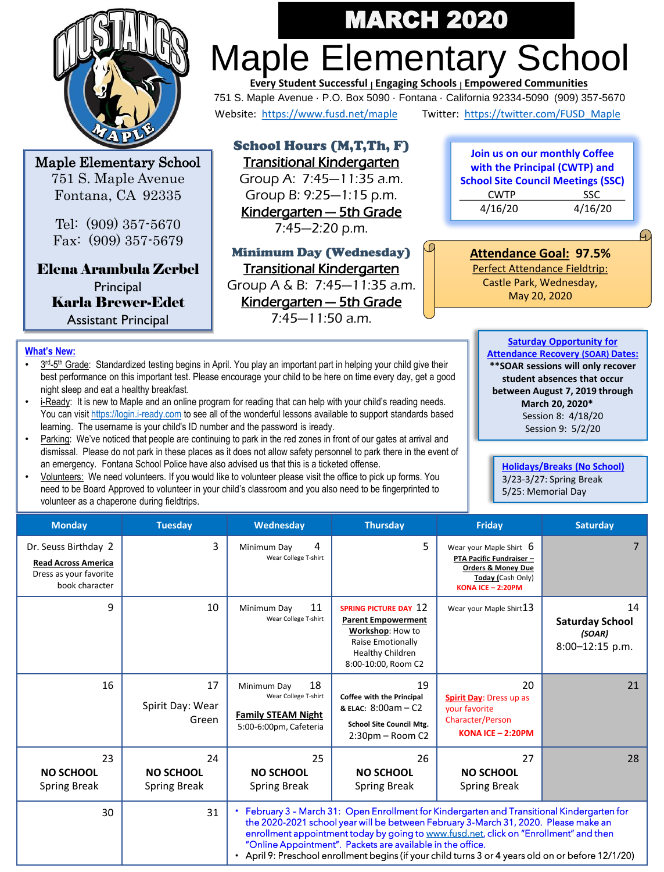

Maple Elementary School 751 S. Maple Avenue Fontana, CA 92335

> Tel: (909) 357-5670 Fax: (909) 357-5679

Elena Arambula Zerbel **Principal** Karla Brewer-Edet Assistant Principal

# Maple Elementary School MARCH 2020

751 S. Maple Avenue · P.O. Box 5090 · Fontana · California 92334-5090 (909) 357-5670 Website: <https://www.fusd.net/maple> Twitter: [https://twitter.com/FUSD\\_Maple](https://twitter.com/FUSD_Maple) **Every Student Successful <sup>|</sup> Engaging Schools <sup>|</sup> Empowered Communities**

School Hours (M,T,Th, F) Transitional Kindergarten Group A: 7:45—11:35 a.m. Group B: 9:25—1:15 p.m. Kindergarten — 5th Grade

7:45—2:20 p.m.

Minimum Day (Wednesday) Transitional Kindergarten Group A & B: 7:45—11:35 a.m. Kindergarten — 5th Grade

7:45—11:50 a.m.

**Join us on our monthly Coffee with the Principal (CWTP) and School Site Council Meetings (SSC)** CWTP SSC 4/16/20 4/16/20

**Attendance Goal: 97.5%** 

FC

Perfect Attendance Fieldtrip: Castle Park, Wednesday, May 20, 2020

### **What's New:**

- 3<sup>rd</sup>-5<sup>th</sup> Grade: Standardized testing begins in April. You play an important part in helping your child give their best performance on this important test. Please encourage your child to be here on time every day, get a good night sleep and eat a healthy breakfast.
- i-Ready: It is new to Maple and an online program for reading that can help with your child's reading needs. You can visit [https://login.i-ready.com](https://login.i-ready.com/) to see all of the wonderful lessons available to support standards based learning. The username is your child's ID number and the password is iready.
- Parking: We've noticed that people are continuing to park in the red zones in front of our gates at arrival and dismissal. Please do not park in these places as it does not allow safety personnel to park there in the event of an emergency. Fontana School Police have also advised us that this is a ticketed offense.
- Volunteers: We need volunteers. If you would like to volunteer please visit the office to pick up forms. You need to be Board Approved to volunteer in your child's classroom and you also need to be fingerprinted to volunteer as a chaperone during fieldtrips.

**Saturday Opportunity for Attendance Recovery (SOAR) Dates: \*\*SOAR sessions will only recover student absences that occur between August 7, 2019 through March 20, 2020\*** Session 8: 4/18/20 Session 9: 5/2/20

**Holidays/Breaks (No School)** 3/23-3/27: Spring Break 5/25: Memorial Day

| <b>Monday</b>                                                                                  | <b>Tuesday</b>                         | Wednesday                                                                                                                                                                                                                                                                                                                                                                                                                                       | <b>Thursday</b>                                                                                                                               | Friday                                                                                                                                  | <b>Saturday</b>                                           |  |
|------------------------------------------------------------------------------------------------|----------------------------------------|-------------------------------------------------------------------------------------------------------------------------------------------------------------------------------------------------------------------------------------------------------------------------------------------------------------------------------------------------------------------------------------------------------------------------------------------------|-----------------------------------------------------------------------------------------------------------------------------------------------|-----------------------------------------------------------------------------------------------------------------------------------------|-----------------------------------------------------------|--|
| Dr. Seuss Birthday 2<br><b>Read Across America</b><br>Dress as your favorite<br>book character | 3                                      | 4<br>Minimum Day<br>Wear College T-shirt                                                                                                                                                                                                                                                                                                                                                                                                        | 5                                                                                                                                             | Wear your Maple Shirt $6$<br>PTA Pacific Fundraiser -<br><b>Orders &amp; Money Due</b><br>Today (Cash Only)<br><b>KONA ICE - 2:20PM</b> |                                                           |  |
| 9                                                                                              | 10                                     | 11<br>Minimum Day<br>Wear College T-shirt                                                                                                                                                                                                                                                                                                                                                                                                       | <b>SPRING PICTURE DAY 12</b><br><b>Parent Empowerment</b><br>Workshop: How to<br>Raise Emotionally<br>Healthy Children<br>8:00-10:00, Room C2 | Wear your Maple Shirt 13                                                                                                                | 14<br><b>Saturday School</b><br>(SOAR)<br>8:00-12:15 p.m. |  |
| 16                                                                                             | 17<br>Spirit Day: Wear<br>Green        | 18<br>Minimum Day<br>Wear College T-shirt<br><b>Family STEAM Night</b><br>5:00-6:00pm, Cafeteria                                                                                                                                                                                                                                                                                                                                                | 19<br>Coffee with the Principal<br>& ELAC: 8:00am - C2<br><b>School Site Council Mtg.</b><br>2:30pm - Room C2                                 | 20<br>Spirit Day: Dress up as<br>your favorite<br>Character/Person<br>KONA ICE $-2:20PM$                                                | 21                                                        |  |
| 23<br><b>NO SCHOOL</b><br><b>Spring Break</b>                                                  | 24<br><b>NO SCHOOL</b><br>Spring Break | 25<br><b>NO SCHOOL</b><br><b>Spring Break</b>                                                                                                                                                                                                                                                                                                                                                                                                   | 26<br><b>NO SCHOOL</b><br>Spring Break                                                                                                        | 27<br><b>NO SCHOOL</b><br>Spring Break                                                                                                  | 28                                                        |  |
| 30                                                                                             | 31                                     | • February 3 - March 31: Open Enrollment for Kindergarten and Transitional Kindergarten for<br>the 2020-2021 school year will be between February 3-March 31, 2020. Please make an<br>enrollment appointment today by going to www.fusd.net, click on "Enrollment" and then<br>"Online Appointment". Packets are available in the office.<br>• April 9: Preschool enrollment begins (if your child turns 3 or 4 years old on or before 12/1/20) |                                                                                                                                               |                                                                                                                                         |                                                           |  |